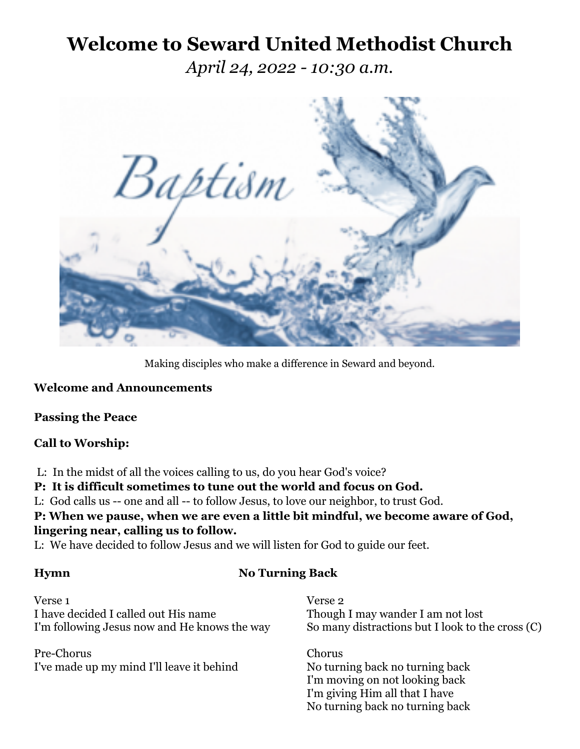## **Welcome to Seward United Methodist Church**

*April 24, 2022 - 10:30 a.m.*



Making disciples who make a difference in Seward and beyond.

### **Welcome and Announcements**

### **Passing the Peace**

## **Call to Worship:**

L: In the midst of all the voices calling to us, do you hear God's voice?

**P: It is difficult sometimes to tune out the world and focus on God.**

L: God calls us -- one and all -- to follow Jesus, to love our neighbor, to trust God.

**P: When we pause, when we are even a little bit mindful, we become aware of God, lingering near, calling us to follow.**

L: We have decided to follow Jesus and we will listen for God to guide our feet.

## **Hymn No Turning Back**

Verse 1 Verse 2 I have decided I called out His name Though I may wander I am not lost I'm following Jesus now and He knows the way So many distractions but I look to the cross (C)

Pre-Chorus Chorus I've made up my mind I'll leave it behind No turning back no turning back

I'm moving on not looking back I'm giving Him all that I have No turning back no turning back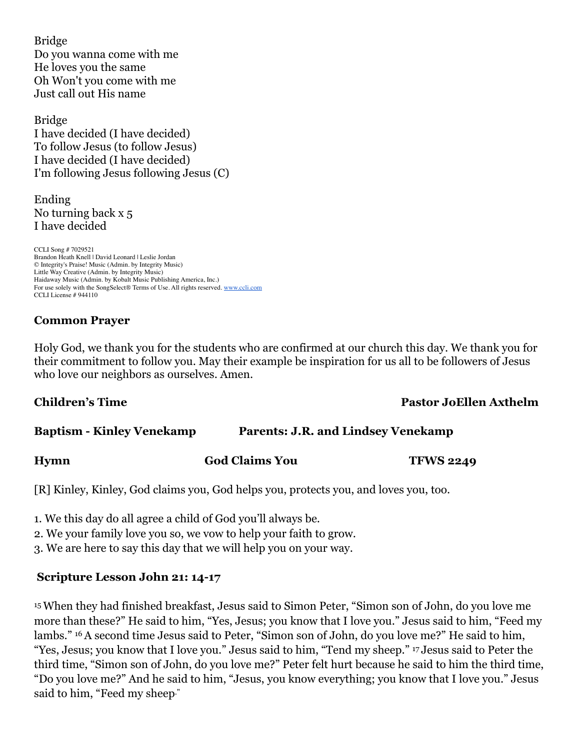Bridge Do you wanna come with me He loves you the same Oh Won't you come with me Just call out His name

Bridge I have decided (I have decided) To follow Jesus (to follow Jesus) I have decided (I have decided) I'm following Jesus following Jesus (C)

Ending No turning back x 5 I have decided

CCLI Song # 7029521 Brandon Heath Knell | David Leonard | Leslie Jordan © Integrity's Praise! Music (Admin. by Integrity Music) Little Way Creative (Admin. by Integrity Music) Haidaway Music (Admin. by Kobalt Music Publishing America, Inc.) For use solely with the SongSelect® Terms of Use. All rights reserved. [www.ccli.com](http://www.ccli.com/) CCLI License # 944110

## **Common Prayer**

Holy God, we thank you for the students who are confirmed at our church this day. We thank you for their commitment to follow you. May their example be inspiration for us all to be followers of Jesus who love our neighbors as ourselves. Amen.

### **Children's Time Pastor JoEllen Axthelm**

| <b>Baptism - Kinley Venekamp</b> | <b>Parents: J.R. and Lindsey Venekamp</b> |
|----------------------------------|-------------------------------------------|
|                                  |                                           |

**Hymn God Claims You TFWS 2249**

[R] Kinley, Kinley, God claims you, God helps you, protects you, and loves you, too.

1. We this day do all agree a child of God you'll always be.

2. We your family love you so, we vow to help your faith to grow.

3. We are here to say this day that we will help you on your way.

## **Scripture Lesson John 21: 14-17**

15When they had finished breakfast, Jesus said to Simon Peter, "Simon son of John, do you love me more than these?" He said to him, "Yes, Jesus; you know that I love you." Jesus said to him, "Feed my lambs." 16A second time Jesus said to Peter, "Simon son of John, do you love me?" He said to him, "Yes, Jesus; you know that I love you." Jesus said to him, "Tend my sheep." <sup>17</sup> Jesus said to Peter the third time, "Simon son of John, do you love me?" Peter felt hurt because he said to him the third time, "Do you love me?" And he said to him, "Jesus, you know everything; you know that I love you." Jesus said to him, "Feed my sheep."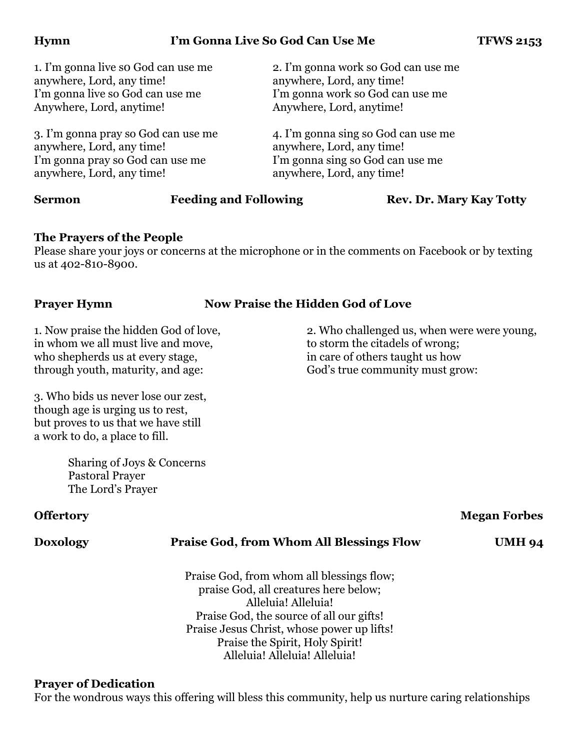### **Hymn** I'm Gonna Live So God Can Use Me **I'm TFWS 2153**

anywhere, Lord, any time! anywhere, Lord, any time! I'm gonna live so God can use me I'm gonna work so God can use me Anywhere, Lord, anytime! Anywhere, Lord, anytime!

anywhere, Lord, any time! anywhere, Lord, any time! I'm gonna pray so God can use me I'm gonna sing so God can use me anywhere, Lord, any time! anywhere, Lord, any time!

1. I'm gonna live so God can use me 2. I'm gonna work so God can use me

3. I'm gonna pray so God can use me 4. I'm gonna sing so God can use me

**Sermon Feeding and Following <b>Rev. Dr. Mary Kay Totty** 

#### **The Prayers of the People**

Please share your joys or concerns at the microphone or in the comments on Facebook or by texting us at 402-810-8900.

## **Prayer Hymn Now Praise the Hidden God of Love**

in whom we all must live and move, to storm the citadels of wrong; who shepherds us at every stage, in care of others taught us how through youth, maturity, and age: God's true community must grow:

3. Who bids us never lose our zest, though age is urging us to rest, but proves to us that we have still a work to do, a place to fill.

> Sharing of Joys & Concerns Pastoral Prayer The Lord's Prayer

### **Offertory** Megan Forbes

#### **Doxology Praise God, from Whom All Blessings Flow UMH 94**

Praise God, from whom all blessings flow; praise God, all creatures here below; Alleluia! Alleluia! Praise God, the source of all our gifts! Praise Jesus Christ, whose power up lifts! Praise the Spirit, Holy Spirit! Alleluia! Alleluia! Alleluia!

#### **Prayer of Dedication**

For the wondrous ways this offering will bless this community, help us nurture caring relationships

# 1. Now praise the hidden God of love, 2. Who challenged us, when were were young,